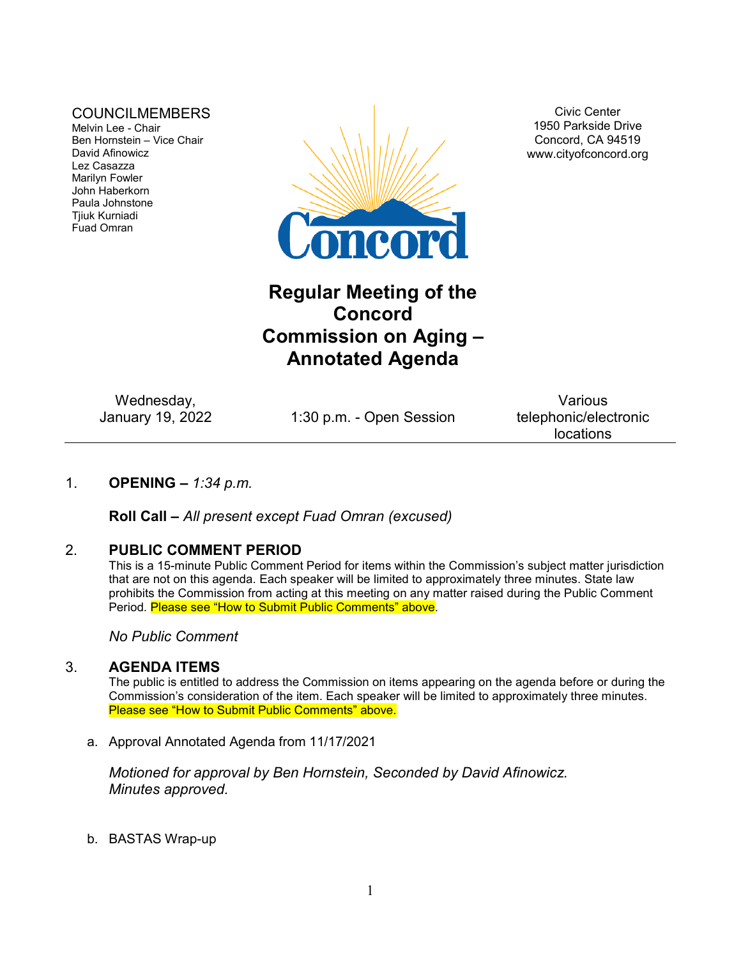## COUNCILMEMBERS

Melvin Lee - Chair Ben Hornstein – Vice Chair David Afinowicz Lez Casazza Marilyn Fowler John Haberkorn Paula Johnstone Tjiuk Kurniadi Fuad Omran



Civic Center 1950 Parkside Drive Concord, CA 94519 www.cityofconcord.org

# **Regular Meeting of the Concord Commission on Aging – Annotated Agenda**

Wednesday,<br>January 19, 2022

1:30 p.m. - Open Session

Various telephonic/electronic locations

# 1. **OPENING –** *1:34 p.m.*

**Roll Call –** *All present except Fuad Omran (excused)*

# 2. **PUBLIC COMMENT PERIOD**

This is a 15-minute Public Comment Period for items within the Commission's subject matter jurisdiction that are not on this agenda. Each speaker will be limited to approximately three minutes. State law prohibits the Commission from acting at this meeting on any matter raised during the Public Comment Period. Please see "How to Submit Public Comments" above.

*No Public Comment*

#### 3. **AGENDA ITEMS**

The public is entitled to address the Commission on items appearing on the agenda before or during the Commission's consideration of the item. Each speaker will be limited to approximately three minutes. Please see "How to Submit Public Comments" above.

a. Approval Annotated Agenda from 11/17/2021

*Motioned for approval by Ben Hornstein, Seconded by David Afinowicz. Minutes approved.*

b. BASTAS Wrap-up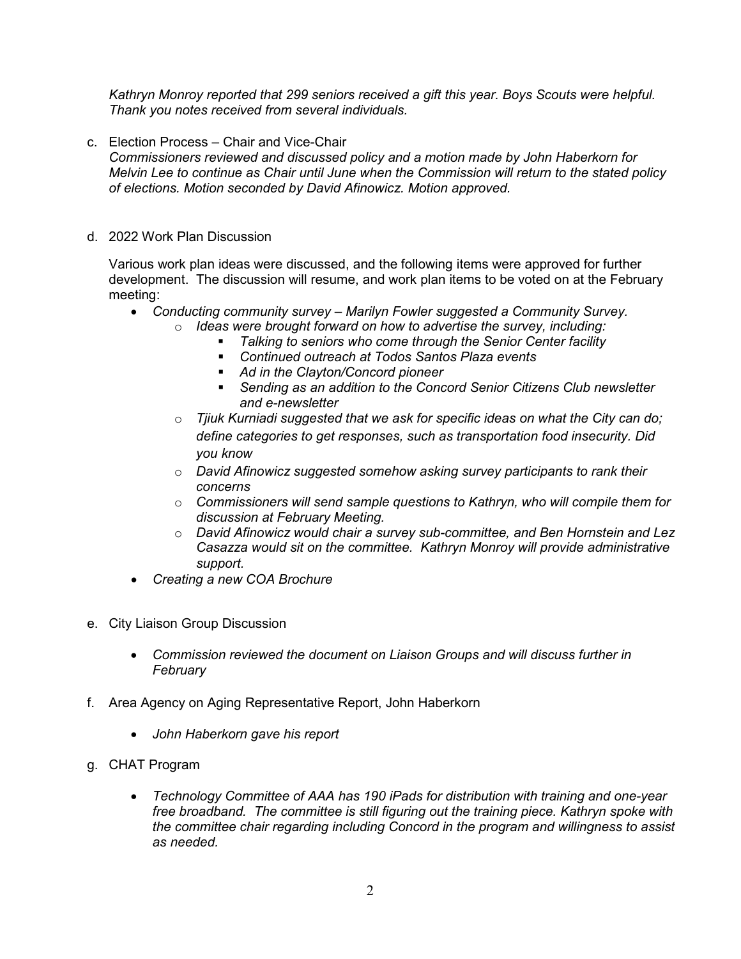*Kathryn Monroy reported that 299 seniors received a gift this year. Boys Scouts were helpful. Thank you notes received from several individuals.*

c. Election Process – Chair and Vice-Chair

*Commissioners reviewed and discussed policy and a motion made by John Haberkorn for Melvin Lee to continue as Chair until June when the Commission will return to the stated policy of elections. Motion seconded by David Afinowicz. Motion approved.* 

d. 2022 Work Plan Discussion

Various work plan ideas were discussed, and the following items were approved for further development. The discussion will resume, and work plan items to be voted on at the February meeting:

- *Conducting community survey – Marilyn Fowler suggested a Community Survey.* o *Ideas were brought forward on how to advertise the survey, including:*
	- *Talking to seniors who come through the Senior Center facility*
		- *Continued outreach at Todos Santos Plaza events*
		- *Ad in the Clayton/Concord pioneer*
	- *Sending as an addition to the Concord Senior Citizens Club newsletter and e-newsletter*
	- o *Tjiuk Kurniadi suggested that we ask for specific ideas on what the City can do; define categories to get responses, such as transportation food insecurity. Did you know*
	- o *David Afinowicz suggested somehow asking survey participants to rank their concerns*
	- o *Commissioners will send sample questions to Kathryn, who will compile them for discussion at February Meeting.*
	- o *David Afinowicz would chair a survey sub-committee, and Ben Hornstein and Lez Casazza would sit on the committee. Kathryn Monroy will provide administrative support.*
- *Creating a new COA Brochure*
- e. City Liaison Group Discussion
	- *Commission reviewed the document on Liaison Groups and will discuss further in February*
- f. Area Agency on Aging Representative Report, John Haberkorn
	- *John Haberkorn gave his report*
- g. CHAT Program
	- *Technology Committee of AAA has 190 iPads for distribution with training and one-year free broadband. The committee is still figuring out the training piece. Kathryn spoke with the committee chair regarding including Concord in the program and willingness to assist as needed.*